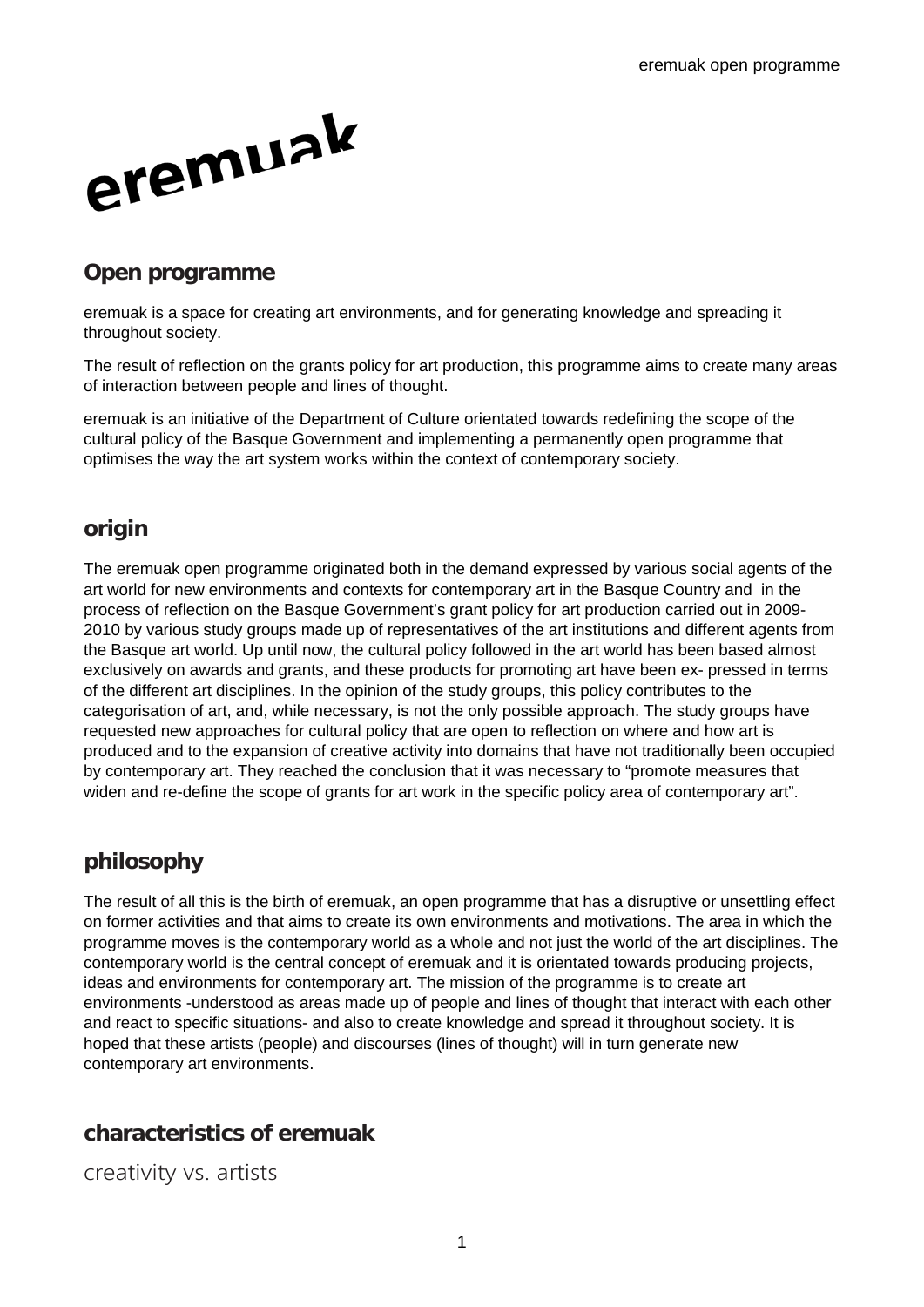

#### **Open programme**

eremuak is a space for creating art environments, and for generating knowledge and spreading it throughout society.

The result of reflection on the grants policy for art production, this programme aims to create many areas of interaction between people and lines of thought.

eremuak is an initiative of the Department of Culture orientated towards redefining the scope of the cultural policy of the Basque Government and implementing a permanently open programme that optimises the way the art system works within the context of contemporary society.

# **origin**

The eremuak open programme originated both in the demand expressed by various social agents of the art world for new environments and contexts for contemporary art in the Basque Country and in the process of reflection on the Basque Government's grant policy for art production carried out in 2009- 2010 by various study groups made up of representatives of the art institutions and different agents from the Basque art world. Up until now, the cultural policy followed in the art world has been based almost exclusively on awards and grants, and these products for promoting art have been ex- pressed in terms of the different art disciplines. In the opinion of the study groups, this policy contributes to the categorisation of art, and, while necessary, is not the only possible approach. The study groups have requested new approaches for cultural policy that are open to reflection on where and how art is produced and to the expansion of creative activity into domains that have not traditionally been occupied by contemporary art. They reached the conclusion that it was necessary to "promote measures that widen and re-define the scope of grants for art work in the specific policy area of contemporary art".

# **philosophy**

The result of all this is the birth of eremuak, an open programme that has a disruptive or unsettling effect on former activities and that aims to create its own environments and motivations. The area in which the programme moves is the contemporary world as a whole and not just the world of the art disciplines. The contemporary world is the central concept of eremuak and it is orientated towards producing projects, ideas and environments for contemporary art. The mission of the programme is to create art environments -understood as areas made up of people and lines of thought that interact with each other and react to specific situations- and also to create knowledge and spread it throughout society. It is hoped that these artists (people) and discourses (lines of thought) will in turn generate new contemporary art environments.

# **characteristics of eremuak**

creativity vs. artists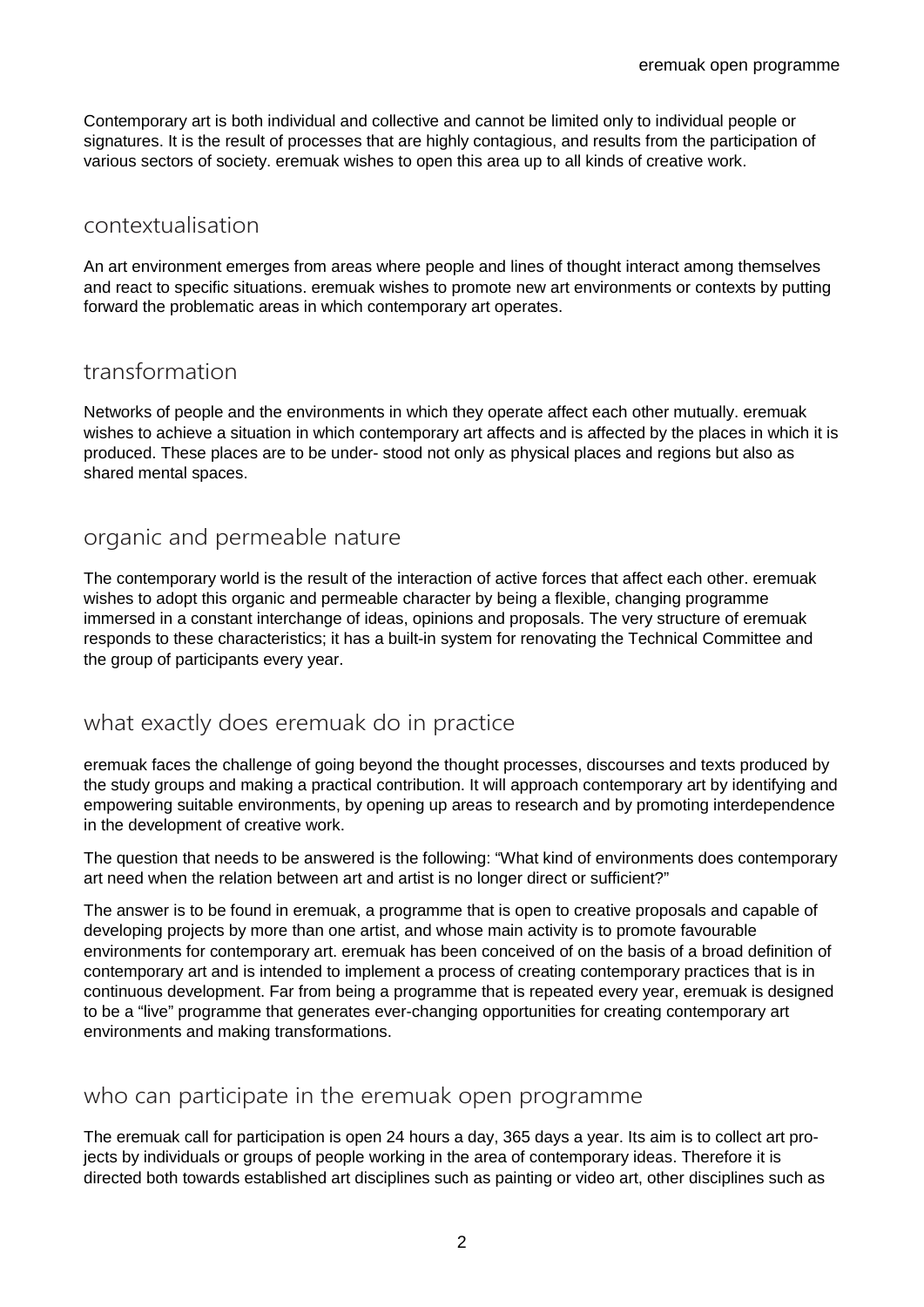Contemporary art is both individual and collective and cannot be limited only to individual people or signatures. It is the result of processes that are highly contagious, and results from the participation of various sectors of society. eremuak wishes to open this area up to all kinds of creative work.

#### contextualisation

An art environment emerges from areas where people and lines of thought interact among themselves and react to specific situations. eremuak wishes to promote new art environments or contexts by putting forward the problematic areas in which contemporary art operates.

### transformation

Networks of people and the environments in which they operate affect each other mutually. eremuak wishes to achieve a situation in which contemporary art affects and is affected by the places in which it is produced. These places are to be under- stood not only as physical places and regions but also as shared mental spaces.

### organic and permeable nature

The contemporary world is the result of the interaction of active forces that affect each other. eremuak wishes to adopt this organic and permeable character by being a flexible, changing programme immersed in a constant interchange of ideas, opinions and proposals. The very structure of eremuak responds to these characteristics; it has a built-in system for renovating the Technical Committee and the group of participants every year.

# what exactly does eremuak do in practice

eremuak faces the challenge of going beyond the thought processes, discourses and texts produced by the study groups and making a practical contribution. It will approach contemporary art by identifying and empowering suitable environments, by opening up areas to research and by promoting interdependence in the development of creative work.

The question that needs to be answered is the following: "What kind of environments does contemporary art need when the relation between art and artist is no longer direct or sufficient?"

The answer is to be found in eremuak, a programme that is open to creative proposals and capable of developing projects by more than one artist, and whose main activity is to promote favourable environments for contemporary art. eremuak has been conceived of on the basis of a broad definition of contemporary art and is intended to implement a process of creating contemporary practices that is in continuous development. Far from being a programme that is repeated every year, eremuak is designed to be a "live" programme that generates ever-changing opportunities for creating contemporary art environments and making transformations.

### who can participate in the eremuak open programme

The eremuak call for participation is open 24 hours a day, 365 days a year. Its aim is to collect art projects by individuals or groups of people working in the area of contemporary ideas. Therefore it is directed both towards established art disciplines such as painting or video art, other disciplines such as